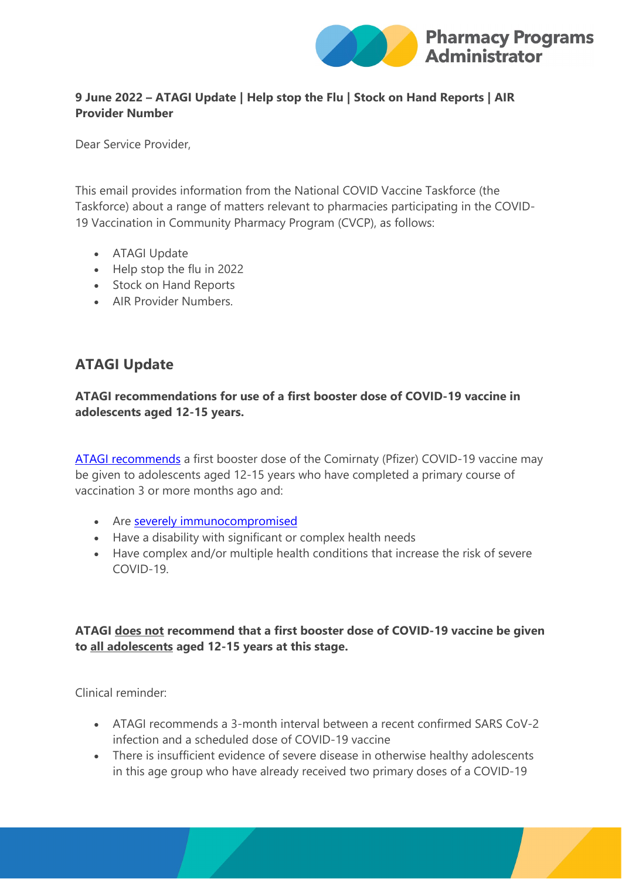

### **9 June 2022 – ATAGI Update | Help stop the Flu | Stock on Hand Reports | AIR Provider Number**

Dear Service Provider,

This email provides information from the National COVID Vaccine Taskforce (the Taskforce) about a range of matters relevant to pharmacies participating in the COVID-19 Vaccination in Community Pharmacy Program (CVCP), as follows:

- ATAGI Update
- Help stop the flu in 2022
- Stock on Hand Reports
- AIR Provider Numbers.

## **ATAGI Update**

### **ATAGI recommendations for use of a first booster dose of COVID-19 vaccine in adolescents aged 12-15 years.**

[ATAGI recommends](https://protect-au.mimecast.com/s/Sc6eC1WLZ4IEonzIGTemU?domain=health.gov.au) a first booster dose of the Comirnaty (Pfizer) COVID-19 vaccine may be given to adolescents aged 12-15 years who have completed a primary course of vaccination 3 or more months ago and:

- Are [severely immunocompromised](https://protect-au.mimecast.com/s/8VbtC2xMZWHEXKlIBIYRb?domain=health.gov.au)
- Have a disability with significant or complex health needs
- Have complex and/or multiple health conditions that increase the risk of severe COVID-19.

## **ATAGI does not recommend that a first booster dose of COVID-19 vaccine be given to all adolescents aged 12-15 years at this stage.**

Clinical reminder:

- ATAGI recommends a 3-month interval between a recent confirmed SARS CoV-2 infection and a scheduled dose of COVID-19 vaccine
- There is insufficient evidence of severe disease in otherwise healthy adolescents in this age group who have already received two primary doses of a COVID-19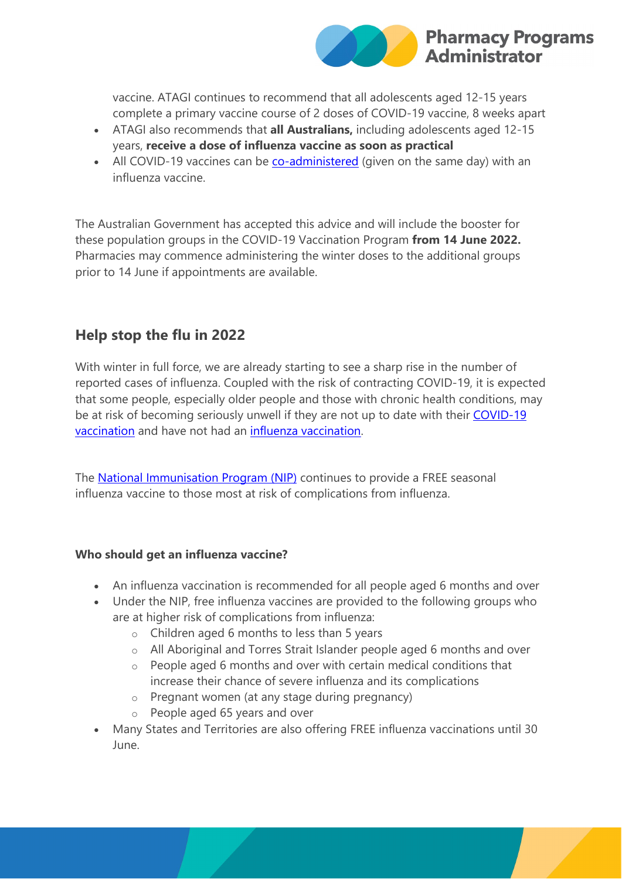

vaccine. ATAGI continues to recommend that all adolescents aged 12-15 years complete a primary vaccine course of 2 doses of COVID-19 vaccine, 8 weeks apart

- ATAGI also recommends that **all Australians,** including adolescents aged 12-15 years, **receive a dose of influenza vaccine as soon as practical**
- All COVID-19 vaccines can be [co-administered](https://protect-au.mimecast.com/s/snQtC3QN8wuRl7AIDtc3W?domain=health.gov.au) (given on the same day) with an influenza vaccine.

The Australian Government has accepted this advice and will include the booster for these population groups in the COVID-19 Vaccination Program **from 14 June 2022.** Pharmacies may commence administering the winter doses to the additional groups prior to 14 June if appointments are available.

## **Help stop the flu in 2022**

With winter in full force, we are already starting to see a sharp rise in the number of reported cases of influenza. Coupled with the risk of contracting COVID-19, it is expected that some people, especially older people and those with chronic health conditions, may be at risk of becoming seriously unwell if they are not up to date with their [COVID-19](https://protect-au.mimecast.com/s/-Gg5C4QOZLu7OY0IVWUar?domain=health.gov.au)  [vaccination](https://protect-au.mimecast.com/s/-Gg5C4QOZLu7OY0IVWUar?domain=health.gov.au) and have not had an [influenza vaccination.](https://protect-au.mimecast.com/s/Hqw3C5QPZLuW7gjs8NjJz?domain=health.gov.au) 

The **National Immunisation Program (NIP)** continues to provide a FREE seasonal influenza vaccine to those most at risk of complications from influenza.

#### **Who should get an influenza vaccine?**

- An influenza vaccination is recommended for all people aged 6 months and over
- Under the NIP, free influenza vaccines are provided to the following groups who are at higher risk of complications from influenza:
	- o Children aged 6 months to less than 5 years
	- o All Aboriginal and Torres Strait Islander people aged 6 months and over
	- o People aged 6 months and over with certain medical conditions that increase their chance of severe influenza and its complications
	- o Pregnant women (at any stage during pregnancy)
	- o People aged 65 years and over
- Many States and Territories are also offering FREE influenza vaccinations until 30 June.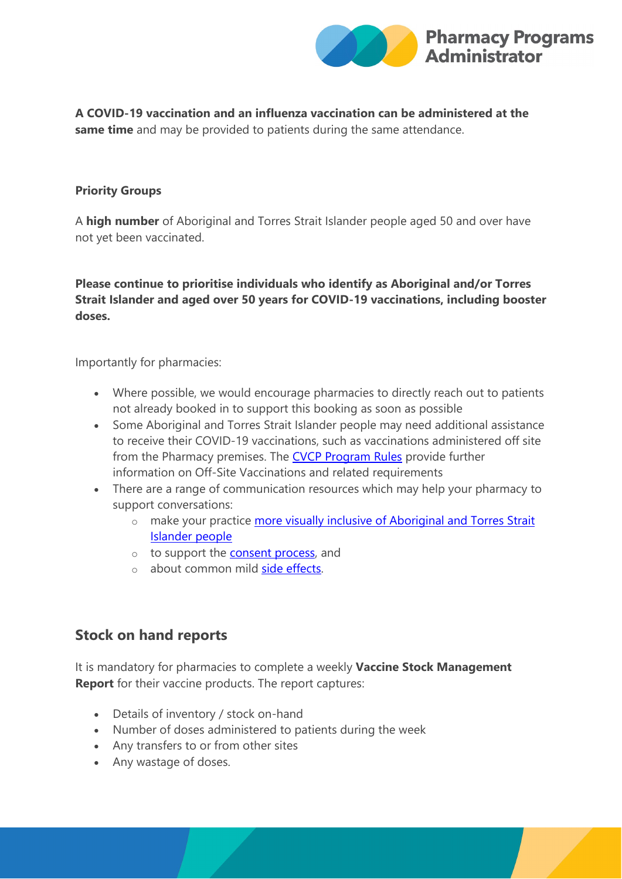

**A COVID-19 vaccination and an influenza vaccination can be administered at the same time** and may be provided to patients during the same attendance.

#### **Priority Groups**

A **high number** of Aboriginal and Torres Strait Islander people aged 50 and over have not yet been vaccinated.

### **Please continue to prioritise individuals who identify as Aboriginal and/or Torres Strait Islander and aged over 50 years for COVID-19 vaccinations, including booster doses.**

Importantly for pharmacies:

- Where possible, we would encourage pharmacies to directly reach out to patients not already booked in to support this booking as soon as possible
- Some Aboriginal and Torres Strait Islander people may need additional assistance to receive their COVID-19 vaccinations, such as vaccinations administered off site from the Pharmacy premises. The [CVCP Program Rules](https://protect-au.mimecast.com/s/FZi0C71RZXuWKEps2t8hW?domain=ppaonline.com.au) provide further information on Off-Site Vaccinations and related requirements
- There are a range of communication resources which may help your pharmacy to support conversations:
	- o make your practice more visually inclusive of Aboriginal and Torres Strait [Islander people](https://protect-au.mimecast.com/s/Hi1xC81VZEuw0OvsELCJz?domain=health.gov.au)
	- o to support the [consent process,](https://protect-au.mimecast.com/s/bQYaC91WZguYXR3hQucqX?domain=health.gov.au) and
	- o about common mild [side effects.](https://protect-au.mimecast.com/s/Z2UiC0YKZLIr5JoFp3Ulz?domain=health.gov.au)

## **Stock on hand reports**

It is mandatory for pharmacies to complete a weekly **Vaccine Stock Management Report** for their vaccine products. The report captures:

- Details of inventory / stock on-hand
- Number of doses administered to patients during the week
- Any transfers to or from other sites
- Any wastage of doses.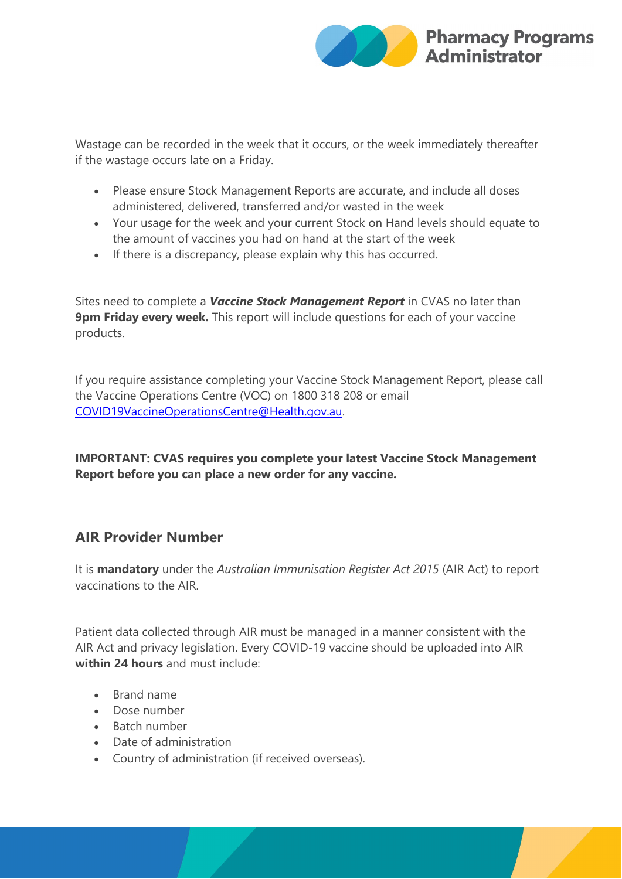

Wastage can be recorded in the week that it occurs, or the week immediately thereafter if the wastage occurs late on a Friday.

- Please ensure Stock Management Reports are accurate, and include all doses administered, delivered, transferred and/or wasted in the week
- Your usage for the week and your current Stock on Hand levels should equate to the amount of vaccines you had on hand at the start of the week
- If there is a discrepancy, please explain why this has occurred.

Sites need to complete a *Vaccine Stock Management Report* in CVAS no later than **9pm Friday every week.** This report will include questions for each of your vaccine products.

If you require assistance completing your Vaccine Stock Management Report, please call the Vaccine Operations Centre (VOC) on 1800 318 208 or email [COVID19VaccineOperationsCentre@Health.gov.au.](mailto:COVID19VaccineOperationsCentre@Health.gov.au)

**IMPORTANT: CVAS requires you complete your latest Vaccine Stock Management Report before you can place a new order for any vaccine.**

## **AIR Provider Number**

It is **mandatory** under the *Australian Immunisation Register Act 2015* (AIR Act) to report vaccinations to the AIR.

Patient data collected through AIR must be managed in a manner consistent with the AIR Act and privacy legislation. Every COVID-19 vaccine should be uploaded into AIR **within 24 hours** and must include:

- Brand name
- Dose number
- Batch number
- Date of administration
- Country of administration (if received overseas).